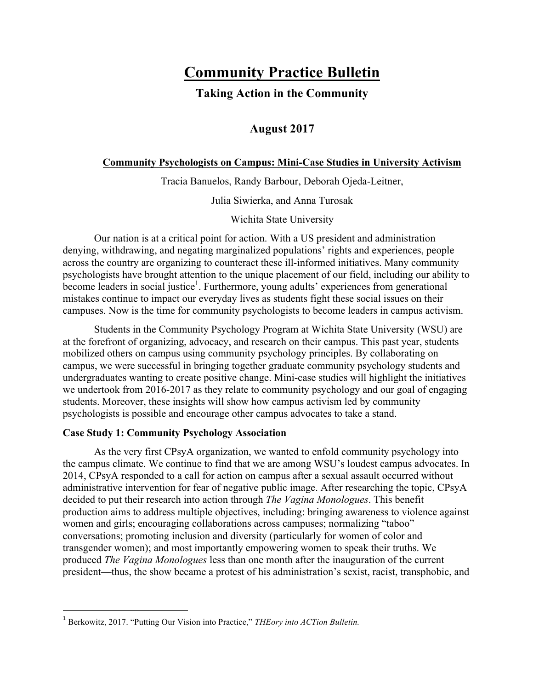# **Community Practice Bulletin**

# **Taking Action in the Community**

## **August 2017**

## **Community Psychologists on Campus: Mini-Case Studies in University Activism**

Tracia Banuelos, Randy Barbour, Deborah Ojeda-Leitner,

Julia Siwierka, and Anna Turosak

Wichita State University

Our nation is at a critical point for action. With a US president and administration denying, withdrawing, and negating marginalized populations' rights and experiences, people across the country are organizing to counteract these ill-informed initiatives. Many community psychologists have brought attention to the unique placement of our field, including our ability to become leaders in social justice<sup>1</sup>. Furthermore, young adults' experiences from generational mistakes continue to impact our everyday lives as students fight these social issues on their campuses. Now is the time for community psychologists to become leaders in campus activism.

Students in the Community Psychology Program at Wichita State University (WSU) are at the forefront of organizing, advocacy, and research on their campus. This past year, students mobilized others on campus using community psychology principles. By collaborating on campus, we were successful in bringing together graduate community psychology students and undergraduates wanting to create positive change. Mini-case studies will highlight the initiatives we undertook from 2016-2017 as they relate to community psychology and our goal of engaging students. Moreover, these insights will show how campus activism led by community psychologists is possible and encourage other campus advocates to take a stand.

### **Case Study 1: Community Psychology Association**

<u> 1989 - Johann Barn, mars eta bainar eta industrial eta baina eta baina eta baina eta baina eta baina eta bain</u>

As the very first CPsyA organization, we wanted to enfold community psychology into the campus climate. We continue to find that we are among WSU's loudest campus advocates. In 2014, CPsyA responded to a call for action on campus after a sexual assault occurred without administrative intervention for fear of negative public image. After researching the topic, CPsyA decided to put their research into action through *The Vagina Monologues*. This benefit production aims to address multiple objectives, including: bringing awareness to violence against women and girls; encouraging collaborations across campuses; normalizing "taboo" conversations; promoting inclusion and diversity (particularly for women of color and transgender women); and most importantly empowering women to speak their truths. We produced *The Vagina Monologues* less than one month after the inauguration of the current president—thus, the show became a protest of his administration's sexist, racist, transphobic, and

<sup>1</sup> Berkowitz, 2017. "Putting Our Vision into Practice," *THEory into ACTion Bulletin.*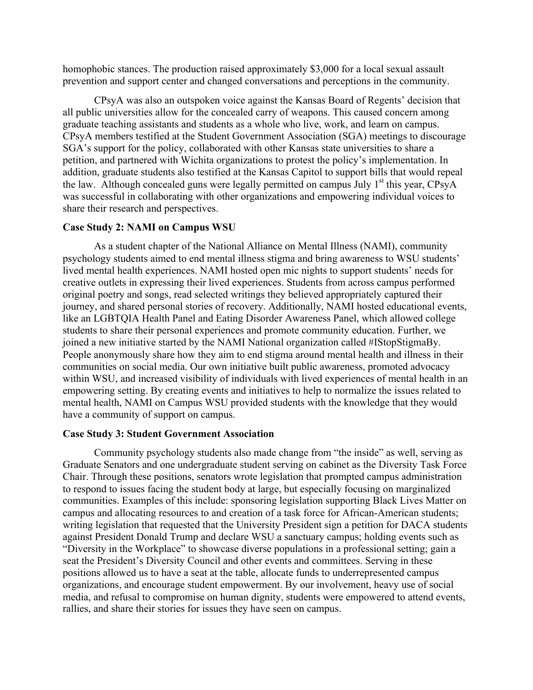homophobic stances. The production raised approximately \$3,000 for a local sexual assault prevention and support center and changed conversations and perceptions in the community.

CPsyA was also an outspoken voice against the Kansas Board of Regents' decision that all public universities allow for the concealed carry of weapons. This caused concern among graduate teaching assistants and students as a whole who live, work, and learn on campus. CPsyA members testified at the Student Government Association (SGA) meetings to discourage SGA's support for the policy, collaborated with other Kansas state universities to share a petition, and partnered with Wichita organizations to protest the policy's implementation. In addition, graduate students also testified at the Kansas Capitol to support bills that would repeal the law. Although concealed guns were legally permitted on campus July  $1<sup>st</sup>$  this year, CPsyA was successful in collaborating with other organizations and empowering individual voices to share their research and perspectives.

#### **Case Study 2: NAMI on Campus WSU**

As a student chapter of the National Alliance on Mental Illness (NAMI), community psychology students aimed to end mental illness stigma and bring awareness to WSU students' lived mental health experiences. NAMI hosted open mic nights to support students' needs for creative outlets in expressing their lived experiences. Students from across campus performed original poetry and songs, read selected writings they believed appropriately captured their journey, and shared personal stories of recovery. Additionally, NAMI hosted educational events, like an LGBTQIA Health Panel and Eating Disorder Awareness Panel, which allowed college students to share their personal experiences and promote community education. Further, we joined a new initiative started by the NAMI National organization called #IStopStigmaBy. People anonymously share how they aim to end stigma around mental health and illness in their communities on social media. Our own initiative built public awareness, promoted advocacy within WSU, and increased visibility of individuals with lived experiences of mental health in an empowering setting. By creating events and initiatives to help to normalize the issues related to mental health, NAMI on Campus WSU provided students with the knowledge that they would have a community of support on campus.

#### **Case Study 3: Student Government Association**

Community psychology students also made change from "the inside" as well, serving as Graduate Senators and one undergraduate student serving on cabinet as the Diversity Task Force Chair. Through these positions, senators wrote legislation that prompted campus administration to respond to issues facing the student body at large, but especially focusing on marginalized communities. Examples of this include: sponsoring legislation supporting Black Lives Matter on campus and allocating resources to and creation of a task force for African-American students; writing legislation that requested that the University President sign a petition for DACA students against President Donald Trump and declare WSU a sanctuary campus; holding events such as "Diversity in the Workplace" to showcase diverse populations in a professional setting; gain a seat the President's Diversity Council and other events and committees. Serving in these positions allowed us to have a seat at the table, allocate funds to underrepresented campus organizations, and encourage student empowerment. By our involvement, heavy use of social media, and refusal to compromise on human dignity, students were empowered to attend events, rallies, and share their stories for issues they have seen on campus.